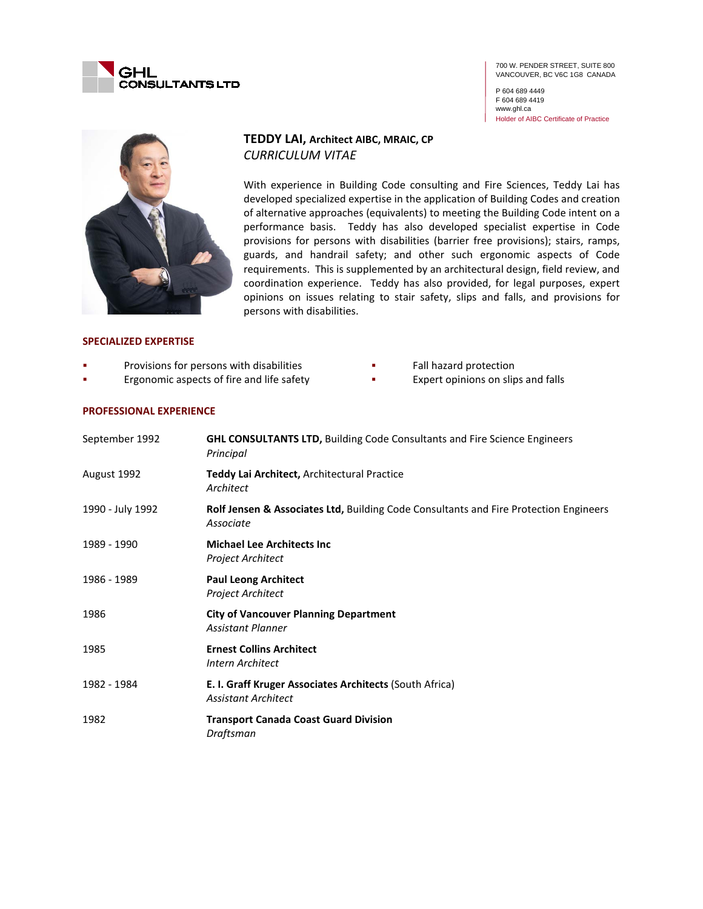

P 604 689 4449 F 604 689 4419 www.ghl.ca Holder of AIBC Certificate of Practice



# **TEDDY LAI, Architect AIBC, MRAIC, CP** *CURRICULUM VITAE*

With experience in Building Code consulting and Fire Sciences, Teddy Lai has developed specialized expertise in the application of Building Codes and creation of alternative approaches (equivalents) to meeting the Building Code intent on a performance basis. Teddy has also developed specialist expertise in Code provisions for persons with disabilities (barrier free provisions); stairs, ramps, guards, and handrail safety; and other such ergonomic aspects of Code requirements. This is supplemented by an architectural design, field review, and coordination experience. Teddy has also provided, for legal purposes, expert opinions on issues relating to stair safety, slips and falls, and provisions for persons with disabilities.

#### **SPECIALIZED EXPERTISE**

- Provisions for persons with disabilities
- Ergonomic aspects of fire and life safety
- Fall hazard protection
- Expert opinions on slips and falls

#### **PROFESSIONAL EXPERIENCE**

| September 1992   | <b>GHL CONSULTANTS LTD, Building Code Consultants and Fire Science Engineers</b><br>Principal      |
|------------------|----------------------------------------------------------------------------------------------------|
| August 1992      | Teddy Lai Architect, Architectural Practice<br>Architect                                           |
| 1990 - July 1992 | Rolf Jensen & Associates Ltd, Building Code Consultants and Fire Protection Engineers<br>Associate |
| 1989 - 1990      | <b>Michael Lee Architects Inc.</b><br>Project Architect                                            |
| 1986 - 1989      | <b>Paul Leong Architect</b><br>Project Architect                                                   |
| 1986             | <b>City of Vancouver Planning Department</b><br><b>Assistant Planner</b>                           |
| 1985             | <b>Ernest Collins Architect</b><br>Intern Architect                                                |
| 1982 - 1984      | E. I. Graff Kruger Associates Architects (South Africa)<br><b>Assistant Architect</b>              |
| 1982             | <b>Transport Canada Coast Guard Division</b><br>Draftsman                                          |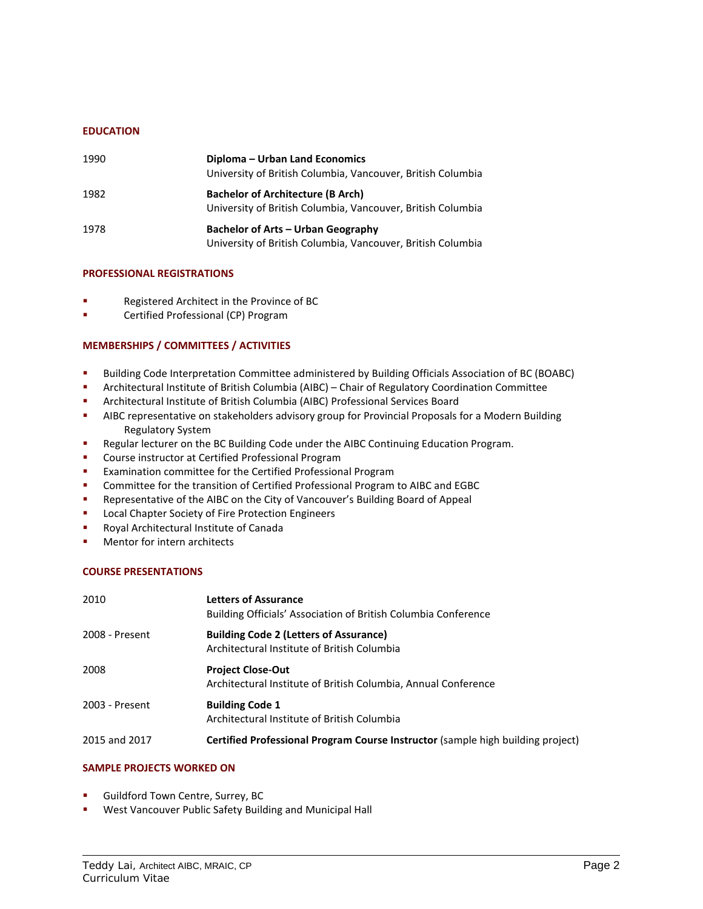# **EDUCATION**

| 1990 | Diploma – Urban Land Economics<br>University of British Columbia, Vancouver, British Columbia            |
|------|----------------------------------------------------------------------------------------------------------|
| 1982 | <b>Bachelor of Architecture (B Arch)</b><br>University of British Columbia, Vancouver, British Columbia  |
| 1978 | <b>Bachelor of Arts - Urban Geography</b><br>University of British Columbia, Vancouver, British Columbia |

# **PROFESSIONAL REGISTRATIONS**

- **Registered Architect in the Province of BC**
- Certified Professional (CP) Program

# **MEMBERSHIPS / COMMITTEES / ACTIVITIES**

- Building Code Interpretation Committee administered by Building Officials Association of BC (BOABC)
- Architectural Institute of British Columbia (AIBC) Chair of Regulatory Coordination Committee
- Architectural Institute of British Columbia (AIBC) Professional Services Board
- AIBC representative on stakeholders advisory group for Provincial Proposals for a Modern Building Regulatory System
- Regular lecturer on the BC Building Code under the AIBC Continuing Education Program.
- **•** Course instructor at Certified Professional Program
- Examination committee for the Certified Professional Program
- **Committee for the transition of Certified Professional Program to AIBC and EGBC**
- Representative of the AIBC on the City of Vancouver's Building Board of Appeal
- **Local Chapter Society of Fire Protection Engineers**
- **Royal Architectural Institute of Canada**
- **Mentor for intern architects**

#### **COURSE PRESENTATIONS**

| 2010           | <b>Letters of Assurance</b><br>Building Officials' Association of British Columbia Conference |
|----------------|-----------------------------------------------------------------------------------------------|
| 2008 - Present | <b>Building Code 2 (Letters of Assurance)</b><br>Architectural Institute of British Columbia  |
| 2008           | <b>Project Close-Out</b><br>Architectural Institute of British Columbia, Annual Conference    |
| 2003 - Present | <b>Building Code 1</b><br>Architectural Institute of British Columbia                         |
| 2015 and 2017  | Certified Professional Program Course Instructor (sample high building project)               |

#### **SAMPLE PROJECTS WORKED ON**

- Guildford Town Centre, Surrey, BC
- West Vancouver Public Safety Building and Municipal Hall